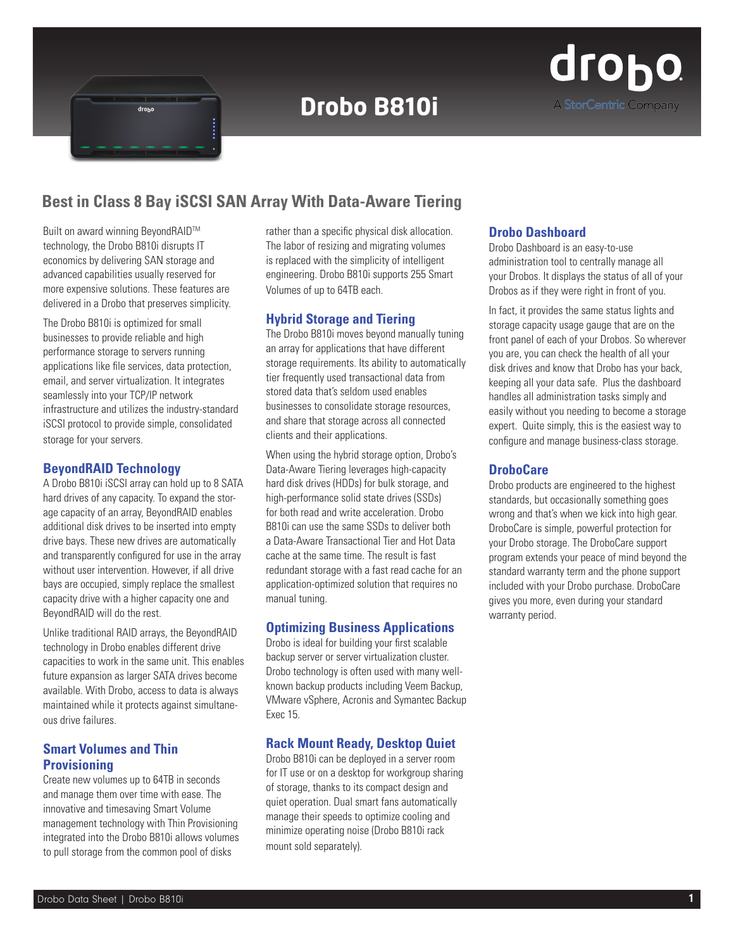

# **Drobo B810i**



# **Best in Class 8 Bay iSCSI SAN Array With Data-Aware Tiering**

Built on award winning BeyondRAID™ technology, the Drobo B810i disrupts IT economics by delivering SAN storage and advanced capabilities usually reserved for more expensive solutions. These features are delivered in a Drobo that preserves simplicity.

The Drobo B810i is optimized for small businesses to provide reliable and high performance storage to servers running applications like file services, data protection, email, and server virtualization. It integrates seamlessly into your TCP/IP network infrastructure and utilizes the industry-standard iSCSI protocol to provide simple, consolidated storage for your servers.

#### **BeyondRAID Technology**

A Drobo B810i iSCSI array can hold up to 8 SATA hard drives of any capacity. To expand the storage capacity of an array, BeyondRAID enables additional disk drives to be inserted into empty drive bays. These new drives are automatically and transparently configured for use in the array without user intervention. However, if all drive bays are occupied, simply replace the smallest capacity drive with a higher capacity one and BeyondRAID will do the rest.

Unlike traditional RAID arrays, the BeyondRAID technology in Drobo enables different drive capacities to work in the same unit. This enables future expansion as larger SATA drives become available. With Drobo, access to data is always maintained while it protects against simultaneous drive failures.

# **Smart Volumes and Thin Provisioning**

Create new volumes up to 64TB in seconds and manage them over time with ease. The innovative and timesaving Smart Volume management technology with Thin Provisioning integrated into the Drobo B810i allows volumes to pull storage from the common pool of disks

rather than a specific physical disk allocation. The labor of resizing and migrating volumes is replaced with the simplicity of intelligent engineering. Drobo B810i supports 255 Smart Volumes of up to 64TB each.

# **Hybrid Storage and Tiering**

The Drobo B810i moves beyond manually tuning an array for applications that have different storage requirements. Its ability to automatically tier frequently used transactional data from stored data that's seldom used enables businesses to consolidate storage resources, and share that storage across all connected clients and their applications.

When using the hybrid storage option, Drobo's Data-Aware Tiering leverages high-capacity hard disk drives (HDDs) for bulk storage, and high-performance solid state drives (SSDs) for both read and write acceleration. Drobo B810i can use the same SSDs to deliver both a Data-Aware Transactional Tier and Hot Data cache at the same time. The result is fast redundant storage with a fast read cache for an application-optimized solution that requires no manual tuning.

# **Optimizing Business Applications**

Drobo is ideal for building your first scalable backup server or server virtualization cluster. Drobo technology is often used with many wellknown backup products including Veem Backup, VMware vSphere, Acronis and Symantec Backup Exec 15.

# **Rack Mount Ready, Desktop Quiet**

Drobo B810i can be deployed in a server room for IT use or on a desktop for workgroup sharing of storage, thanks to its compact design and quiet operation. Dual smart fans automatically manage their speeds to optimize cooling and minimize operating noise (Drobo B810i rack mount sold separately).

#### **Drobo Dashboard**

Drobo Dashboard is an easy-to-use administration tool to centrally manage all your Drobos. It displays the status of all of your Drobos as if they were right in front of you.

In fact, it provides the same status lights and storage capacity usage gauge that are on the front panel of each of your Drobos. So wherever you are, you can check the health of all your disk drives and know that Drobo has your back, keeping all your data safe. Plus the dashboard handles all administration tasks simply and easily without you needing to become a storage expert. Quite simply, this is the easiest way to configure and manage business-class storage.

# **DroboCare**

Drobo products are engineered to the highest standards, but occasionally something goes wrong and that's when we kick into high gear. DroboCare is simple, powerful protection for your Drobo storage. The DroboCare support program extends your peace of mind beyond the standard warranty term and the phone support included with your Drobo purchase. DroboCare gives you more, even during your standard warranty period.